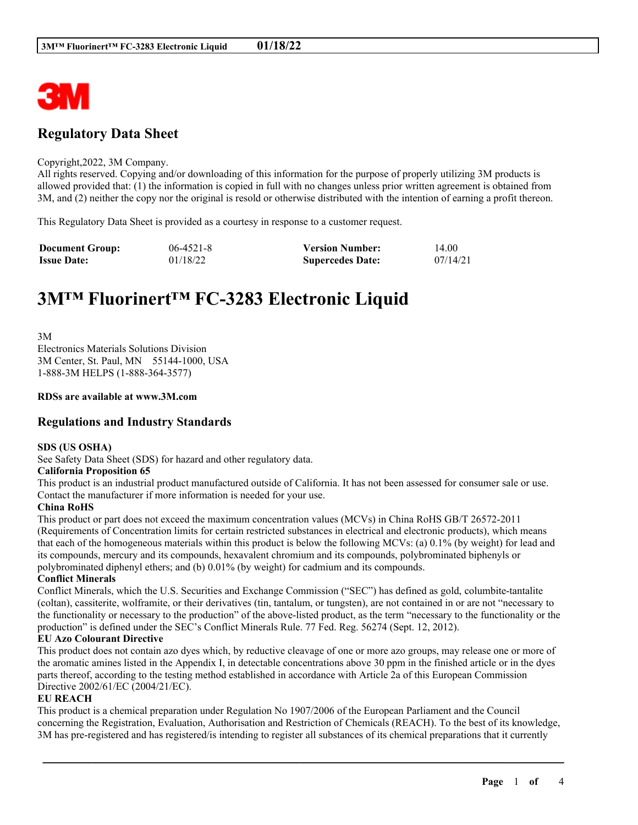

# **Regulatory Data Sheet**

#### Copyright,2022, 3M Company.

All rights reserved. Copying and/or downloading of this information for the purpose of properly utilizing 3M products is allowed provided that: (1) the information is copied in full with no changes unless prior written agreement is obtained from 3M, and (2) neither the copy nor the original is resold or otherwise distributed with the intention of earning a profit thereon.

This Regulatory Data Sheet is provided as a courtesy in response to a customer request.

| <b>Document Group:</b> | $06-4521-8$ | <b>Version Number:</b>  | 14.00    |
|------------------------|-------------|-------------------------|----------|
| <b>Issue Date:</b>     | 01/18/22    | <b>Supercedes Date:</b> | 07/14/21 |

# **3M™ Fluorinert™ FC-3283 Electronic Liquid**

3M Electronics Materials Solutions Division 3M Center, St. Paul, MN 55144-1000, USA 1-888-3M HELPS (1-888-364-3577)

#### **RDSs are available at www.3M.com**

# **Regulations and Industry Standards**

#### **SDS (US OSHA)**

See Safety Data Sheet (SDS) for hazard and other regulatory data.

#### **California Proposition 65**

This product is an industrial product manufactured outside of California. It has not been assessed for consumer sale or use. Contact the manufacturer if more information is needed for your use.

#### **China RoHS**

This product or part does not exceed the maximum concentration values (MCVs) in China RoHS GB/T 26572-2011 (Requirements of Concentration limits for certain restricted substances in electrical and electronic products), which means that each of the homogeneous materials within this product is below the following MCVs: (a) 0.1% (by weight) for lead and its compounds, mercury and its compounds, hexavalent chromium and its compounds, polybrominated biphenyls or polybrominated diphenyl ethers; and (b) 0.01% (by weight) for cadmium and its compounds.

#### **Conflict Minerals**

Conflict Minerals, which the U.S. Securities and Exchange Commission ("SEC") has defined as gold, columbite-tantalite (coltan), cassiterite, wolframite, or their derivatives (tin, tantalum, or tungsten), are not contained in or are not "necessary to the functionality or necessary to the production" of the above-listed product, as the term "necessary to the functionality or the production" is defined under the SEC's Conflict Minerals Rule. 77 Fed. Reg. 56274 (Sept. 12, 2012).

#### **EU Azo Colourant Directive**

This product does not contain azo dyes which, by reductive cleavage of one or more azo groups, may release one or more of the aromatic amines listed in the Appendix I, in detectable concentrations above 30 ppm in the finished article or in the dyes parts thereof, according to the testing method established in accordance with Article 2a of this European Commission Directive 2002/61/EC (2004/21/EC).

#### **EU REACH**

This product is a chemical preparation under Regulation No 1907/2006 of the European Parliament and the Council concerning the Registration, Evaluation, Authorisation and Restriction of Chemicals (REACH). To the best of its knowledge, 3M has pre-registered and has registered/is intending to register all substances of its chemical preparations that it currently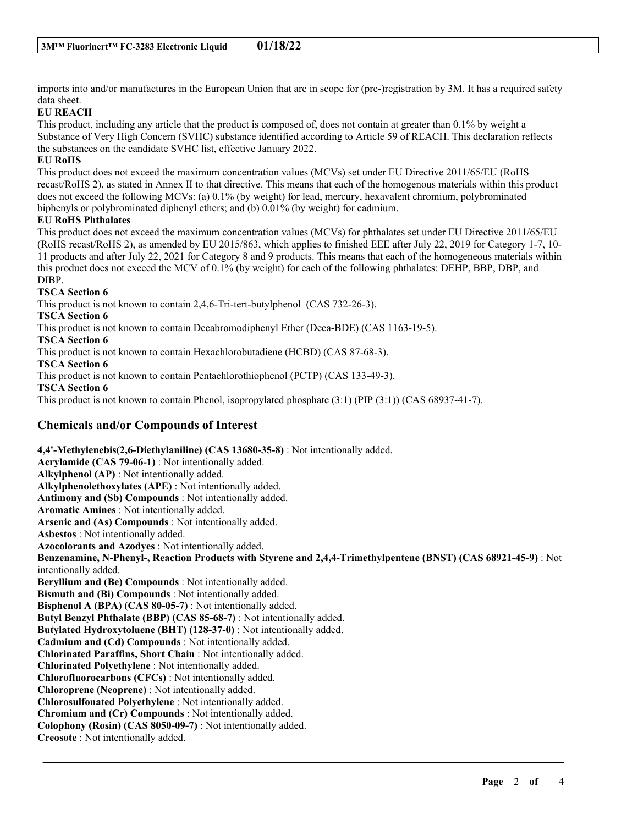imports into and/or manufactures in the European Union that are in scope for (pre-)registration by 3M. It has a required safety data sheet.

# **EU REACH**

This product, including any article that the product is composed of, does not contain at greater than 0.1% by weight a Substance of Very High Concern (SVHC) substance identified according to Article 59 of REACH. This declaration reflects the substances on the candidate SVHC list, effective January 2022.

#### **EU RoHS**

This product does not exceed the maximum concentration values (MCVs) set under EU Directive 2011/65/EU (RoHS recast/RoHS 2), as stated in Annex II to that directive. This means that each of the homogenous materials within this product does not exceed the following MCVs: (a) 0.1% (by weight) for lead, mercury, hexavalent chromium, polybrominated biphenyls or polybrominated diphenyl ethers; and (b) 0.01% (by weight) for cadmium.

#### **EU RoHS Phthalates**

This product does not exceed the maximum concentration values (MCVs) for phthalates set under EU Directive 2011/65/EU (RoHS recast/RoHS 2), as amended by EU 2015/863, which applies to finished EEE after July 22, 2019 for Category 1-7, 10- 11 products and after July 22, 2021 for Category 8 and 9 products. This means that each of the homogeneous materials within this product does not exceed the MCV of 0.1% (by weight) for each of the following phthalates: DEHP, BBP, DBP, and DIBP.

### **TSCA Section 6**

This product is not known to contain 2,4,6-Tri-tert-butylphenol (CAS 732-26-3).

**TSCA Section 6**

This product is not known to contain Decabromodiphenyl Ether (Deca-BDE) (CAS 1163-19-5).

**TSCA Section 6**

This product is not known to contain Hexachlorobutadiene (HCBD) (CAS 87-68-3).

**TSCA Section 6**

This product is not known to contain Pentachlorothiophenol (PCTP) (CAS 133-49-3).

**TSCA Section 6**

This product is not known to contain Phenol, isopropylated phosphate (3:1) (PIP (3:1)) (CAS 68937-41-7).

# **Chemicals and/or Compounds of Interest**

**4,4'-Methylenebis(2,6-Diethylaniline) (CAS 13680-35-8)** : Not intentionally added. **Acrylamide (CAS 79-06-1)** : Not intentionally added. **Alkylphenol (AP)** : Not intentionally added. **Alkylphenolethoxylates (APE)** : Not intentionally added. **Antimony and (Sb) Compounds** : Not intentionally added. **Aromatic Amines** : Not intentionally added. **Arsenic and (As) Compounds** : Not intentionally added. **Asbestos** : Not intentionally added. **Azocolorants and Azodyes** : Not intentionally added. **Benzenamine, N-Phenyl-, Reaction Products with Styrene and 2,4,4-Trimethylpentene (BNST) (CAS 68921-45-9)** : Not intentionally added. **Beryllium and (Be) Compounds** : Not intentionally added. **Bismuth and (Bi) Compounds** : Not intentionally added. **Bisphenol A (BPA) (CAS 80-05-7)** : Not intentionally added. **Butyl Benzyl Phthalate (BBP) (CAS 85-68-7)** : Not intentionally added. **Butylated Hydroxytoluene (BHT) (128-37-0)** : Not intentionally added. **Cadmium and (Cd) Compounds** : Not intentionally added. **Chlorinated Paraffins, Short Chain** : Not intentionally added. **Chlorinated Polyethylene** : Not intentionally added. **Chlorofluorocarbons (CFCs)** : Not intentionally added. **Chloroprene (Neoprene)** : Not intentionally added. **Chlorosulfonated Polyethylene** : Not intentionally added. **Chromium and (Cr) Compounds** : Not intentionally added. **Colophony (Rosin) (CAS 8050-09-7)** : Not intentionally added. **Creosote** : Not intentionally added.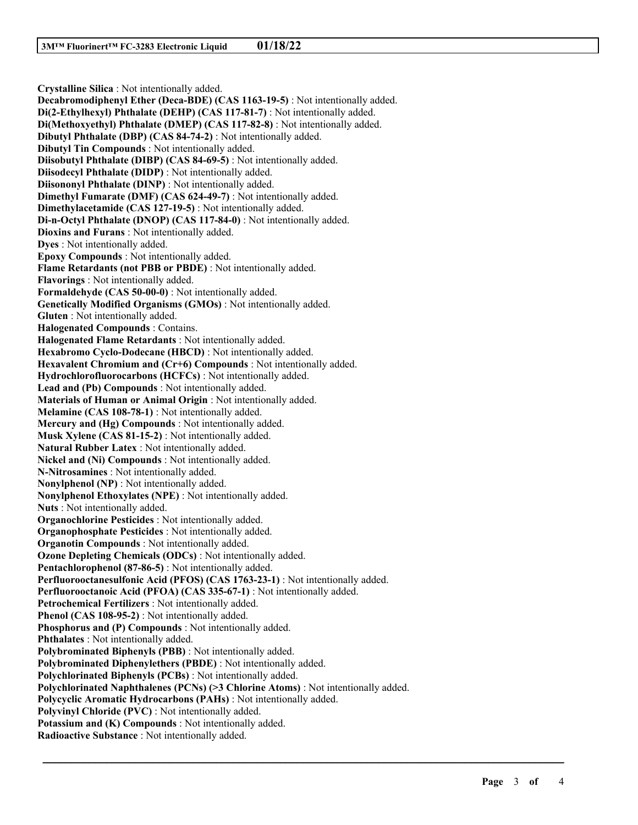**Crystalline Silica** : Not intentionally added. **Decabromodiphenyl Ether (Deca-BDE) (CAS 1163-19-5)** : Not intentionally added. **Di(2-Ethylhexyl) Phthalate (DEHP) (CAS 117-81-7)** : Not intentionally added. **Di(Methoxyethyl) Phthalate (DMEP) (CAS 117-82-8)** : Not intentionally added. **Dibutyl Phthalate (DBP) (CAS 84-74-2)** : Not intentionally added. **Dibutyl Tin Compounds** : Not intentionally added. **Diisobutyl Phthalate (DIBP) (CAS 84-69-5)** : Not intentionally added. **Diisodecyl Phthalate (DIDP)** : Not intentionally added. **Diisononyl Phthalate (DINP)** : Not intentionally added. **Dimethyl Fumarate (DMF) (CAS 624-49-7)** : Not intentionally added. **Dimethylacetamide (CAS 127-19-5)** : Not intentionally added. **Di-n-Octyl Phthalate (DNOP) (CAS 117-84-0)** : Not intentionally added. **Dioxins and Furans** : Not intentionally added. **Dyes** : Not intentionally added. **Epoxy Compounds** : Not intentionally added. **Flame Retardants (not PBB or PBDE)** : Not intentionally added. **Flavorings** : Not intentionally added. **Formaldehyde (CAS 50-00-0)** : Not intentionally added. **Genetically Modified Organisms (GMOs)** : Not intentionally added. **Gluten** : Not intentionally added. **Halogenated Compounds** : Contains. **Halogenated Flame Retardants** : Not intentionally added. **Hexabromo Cyclo-Dodecane (HBCD)** : Not intentionally added. **Hexavalent Chromium and (Cr+6) Compounds** : Not intentionally added. **Hydrochlorofluorocarbons (HCFCs)** : Not intentionally added. **Lead and (Pb) Compounds** : Not intentionally added. **Materials of Human or Animal Origin** : Not intentionally added. **Melamine (CAS 108-78-1)** : Not intentionally added. **Mercury and (Hg) Compounds** : Not intentionally added. **Musk Xylene (CAS 81-15-2)** : Not intentionally added. **Natural Rubber Latex** : Not intentionally added. **Nickel and (Ni) Compounds** : Not intentionally added. **N-Nitrosamines** : Not intentionally added. **Nonylphenol (NP)** : Not intentionally added. **Nonylphenol Ethoxylates (NPE)** : Not intentionally added. **Nuts** : Not intentionally added. **Organochlorine Pesticides** : Not intentionally added. **Organophosphate Pesticides** : Not intentionally added. **Organotin Compounds** : Not intentionally added. **Ozone Depleting Chemicals (ODCs)** : Not intentionally added. **Pentachlorophenol (87-86-5)** : Not intentionally added. **Perfluorooctanesulfonic Acid (PFOS) (CAS 1763-23-1)** : Not intentionally added. **Perfluorooctanoic Acid (PFOA) (CAS 335-67-1)** : Not intentionally added. **Petrochemical Fertilizers** : Not intentionally added. **Phenol (CAS 108-95-2)** : Not intentionally added. **Phosphorus and (P) Compounds** : Not intentionally added. **Phthalates** : Not intentionally added. **Polybrominated Biphenyls (PBB)** : Not intentionally added. **Polybrominated Diphenylethers (PBDE)** : Not intentionally added. **Polychlorinated Biphenyls (PCBs)** : Not intentionally added. **Polychlorinated Naphthalenes (PCNs) (>3 Chlorine Atoms)** : Not intentionally added. **Polycyclic Aromatic Hydrocarbons (PAHs)** : Not intentionally added. **Polyvinyl Chloride (PVC)** : Not intentionally added. **Potassium and (K) Compounds** : Not intentionally added. **Radioactive Substance** : Not intentionally added.